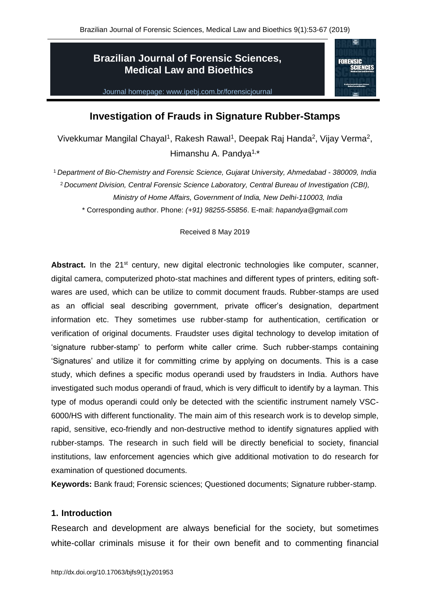# **Brazilian Journal of Forensic Sciences, Medical Law and Bioethics**



Journal homepage: www.ipebj.com.br/forensicjournal

# **Investigation of Frauds in Signature Rubber-Stamps**

Vivekkumar Mangilal Chayal<sup>1</sup>, Rakesh Rawal<sup>1</sup>, Deepak Raj Handa<sup>2</sup>, Vijay Verma<sup>2</sup>, Himanshu A. Pandya<sup>1,\*</sup>

<sup>1</sup> *Department of Bio-Chemistry and Forensic Science, Gujarat University, Ahmedabad - 380009, India* <sup>2</sup> *Document Division, Central Forensic Science Laboratory, Central Bureau of Investigation (CBI), Ministry of Home Affairs, Government of India, New Delhi-110003, India*

\* Corresponding author. Phone: *(+91) 98255-55856*. E-mail: *hapandya@gmail.com*

Received 8 May 2019

Abstract. In the 21<sup>st</sup> century, new digital electronic technologies like computer, scanner, digital camera, computerized photo-stat machines and different types of printers, editing softwares are used, which can be utilize to commit document frauds. Rubber-stamps are used as an official seal describing government, private officer's designation, department information etc. They sometimes use rubber-stamp for authentication, certification or verification of original documents. Fraudster uses digital technology to develop imitation of 'signature rubber-stamp' to perform white caller crime. Such rubber-stamps containing 'Signatures' and utilize it for committing crime by applying on documents. This is a case study, which defines a specific modus operandi used by fraudsters in India. Authors have investigated such modus operandi of fraud, which is very difficult to identify by a layman. This type of modus operandi could only be detected with the scientific instrument namely VSC-6000/HS with different functionality. The main aim of this research work is to develop simple, rapid, sensitive, eco-friendly and non-destructive method to identify signatures applied with rubber-stamps. The research in such field will be directly beneficial to society, financial institutions, law enforcement agencies which give additional motivation to do research for examination of questioned documents.

**Keywords:** Bank fraud; Forensic sciences; Questioned documents; Signature rubber-stamp.

## **1. Introduction**

Research and development are always beneficial for the society, but sometimes white-collar criminals misuse it for their own benefit and to commenting financial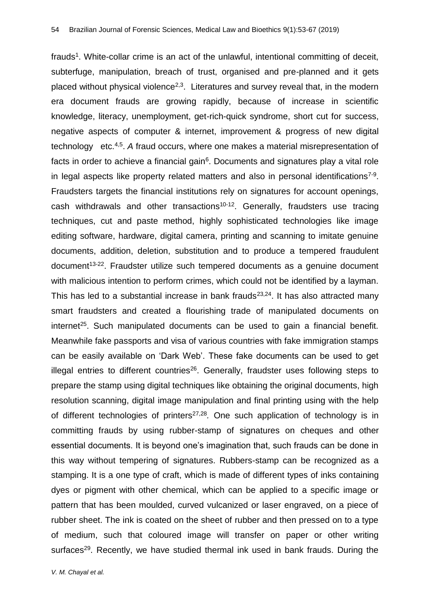frauds<sup>1</sup>. White-collar crime is an act of the unlawful, intentional committing of deceit, subterfuge, manipulation, breach of trust, organised and pre-planned and it gets placed without physical violence<sup>2,3</sup>. Literatures and survey reveal that, in the modern era document frauds are growing rapidly, because of increase in scientific knowledge, literacy, unemployment, get-rich-quick syndrome, short cut for success, negative aspects of computer & internet, improvement & progress of new digital technology etc.<sup>4,5</sup>. A fraud occurs, where one makes a material misrepresentation of facts in order to achieve a financial gain<sup>6</sup>. Documents and signatures play a vital role in legal aspects like property related matters and also in personal identifications<sup>7-9</sup>. Fraudsters targets the financial institutions rely on signatures for account openings, cash withdrawals and other transactions<sup>10-12</sup>. Generally, fraudsters use tracing techniques, cut and paste method, highly sophisticated technologies like image editing software, hardware, digital camera, printing and scanning to imitate genuine documents, addition, deletion, substitution and to produce a tempered fraudulent  $document<sup>13-22</sup>$ . Fraudster utilize such tempered documents as a genuine document with malicious intention to perform crimes, which could not be identified by a layman. This has led to a substantial increase in bank frauds $2^{3,24}$ . It has also attracted many smart fraudsters and created a flourishing trade of manipulated documents on internet<sup>25</sup>. Such manipulated documents can be used to gain a financial benefit. Meanwhile fake passports and visa of various countries with fake immigration stamps can be easily available on 'Dark Web'. These fake documents can be used to get illegal entries to different countries $26$ . Generally, fraudster uses following steps to prepare the stamp using digital techniques like obtaining the original documents, high resolution scanning, digital image manipulation and final printing using with the help of different technologies of printers<sup>27,28</sup>. One such application of technology is in committing frauds by using rubber-stamp of signatures on cheques and other essential documents. It is beyond one's imagination that, such frauds can be done in this way without tempering of signatures. Rubbers-stamp can be recognized as a stamping. It is a one type of craft, which is made of different types of inks containing dyes or pigment with other chemical, which can be applied to a specific image or pattern that has been moulded, curved vulcanized or laser engraved, on a piece of rubber sheet. The ink is coated on the sheet of rubber and then pressed on to a type of medium, such that coloured image will transfer on paper or other writing surfaces<sup>29</sup>. Recently, we have studied thermal ink used in bank frauds. During the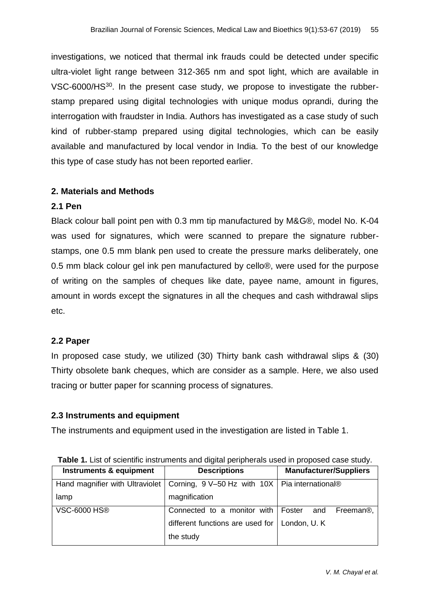investigations, we noticed that thermal ink frauds could be detected under specific ultra-violet light range between 312-365 nm and spot light, which are available in VSC-6000/HS<sup>30</sup>. In the present case study, we propose to investigate the rubberstamp prepared using digital technologies with unique modus oprandi, during the interrogation with fraudster in India. Authors has investigated as a case study of such kind of rubber-stamp prepared using digital technologies, which can be easily available and manufactured by local vendor in India. To the best of our knowledge this type of case study has not been reported earlier.

## **2. Materials and Methods**

## **2.1 Pen**

Black colour ball point pen with 0.3 mm tip manufactured by M&G®, model No. K-04 was used for signatures, which were scanned to prepare the signature rubberstamps, one 0.5 mm blank pen used to create the pressure marks deliberately, one 0.5 mm black colour gel ink pen manufactured by cello®, were used for the purpose of writing on the samples of cheques like date, payee name, amount in figures, amount in words except the signatures in all the cheques and cash withdrawal slips etc.

## **2.2 Paper**

In proposed case study, we utilized (30) Thirty bank cash withdrawal slips & (30) Thirty obsolete bank cheques, which are consider as a sample. Here, we also used tracing or butter paper for scanning process of signatures.

# **2.3 Instruments and equipment**

The instruments and equipment used in the investigation are listed in Table 1.

| <b>Fable 1.</b> List of scienting instruments and digital peripherals used in proposed case study. |                                                  |                                         |  |  |
|----------------------------------------------------------------------------------------------------|--------------------------------------------------|-----------------------------------------|--|--|
| Instruments & equipment                                                                            | <b>Descriptions</b>                              | <b>Manufacturer/Suppliers</b>           |  |  |
| Hand magnifier with Ultraviolet                                                                    | Corning, 9 V-50 Hz with 10X   Pia international® |                                         |  |  |
| lamp                                                                                               | magnification                                    |                                         |  |  |
| <b>VSC-6000 HS®</b>                                                                                | Connected to a monitor with                      | Freeman <sup>®</sup> ,<br>Foster<br>and |  |  |
|                                                                                                    | different functions are used for $\vert$         | London, U.K.                            |  |  |
|                                                                                                    | the study                                        |                                         |  |  |

**Table 1.** List of scientific instruments and digital peripherals used in proposed case study.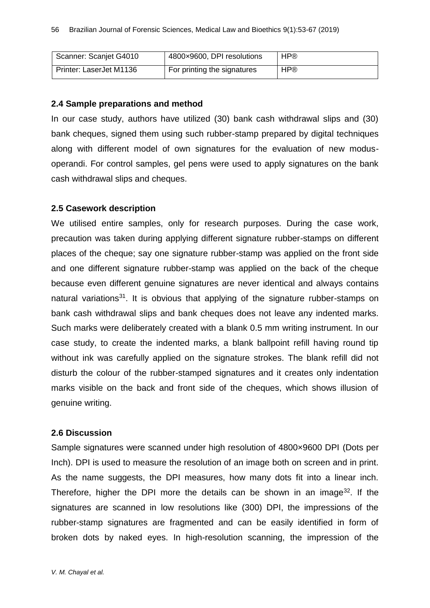| Scanner: Scanjet G4010  | 4800×9600, DPI resolutions  | <b>HP®</b> |
|-------------------------|-----------------------------|------------|
| Printer: LaserJet M1136 | For printing the signatures | <b>HP®</b> |

#### **2.4 Sample preparations and method**

In our case study, authors have utilized (30) bank cash withdrawal slips and (30) bank cheques, signed them using such rubber-stamp prepared by digital techniques along with different model of own signatures for the evaluation of new modusoperandi. For control samples, gel pens were used to apply signatures on the bank cash withdrawal slips and cheques.

#### **2.5 Casework description**

We utilised entire samples, only for research purposes. During the case work, precaution was taken during applying different signature rubber-stamps on different places of the cheque; say one signature rubber-stamp was applied on the front side and one different signature rubber-stamp was applied on the back of the cheque because even different genuine signatures are never identical and always contains natural variations<sup>31</sup>. It is obvious that applying of the signature rubber-stamps on bank cash withdrawal slips and bank cheques does not leave any indented marks. Such marks were deliberately created with a blank 0.5 mm writing instrument. In our case study, to create the indented marks, a blank ballpoint refill having round tip without ink was carefully applied on the signature strokes. The blank refill did not disturb the colour of the rubber-stamped signatures and it creates only indentation marks visible on the back and front side of the cheques, which shows illusion of genuine writing.

#### **2.6 Discussion**

Sample signatures were scanned under high resolution of 4800×9600 DPI (Dots per Inch). DPI is used to measure the resolution of an image both on screen and in print. As the name suggests, the DPI measures, how many dots fit into a linear inch. Therefore, higher the DPI more the details can be shown in an image<sup>32</sup>. If the signatures are scanned in low resolutions like (300) DPI, the impressions of the rubber-stamp signatures are fragmented and can be easily identified in form of broken dots by naked eyes. In high-resolution scanning, the impression of the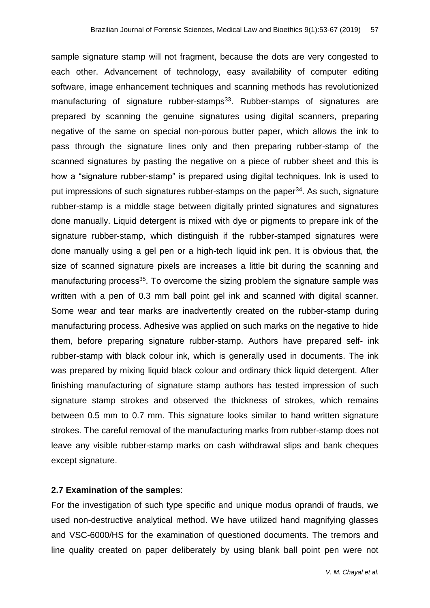sample signature stamp will not fragment, because the dots are very congested to each other. Advancement of technology, easy availability of computer editing software, image enhancement techniques and scanning methods has revolutionized manufacturing of signature rubber-stamps<sup>33</sup>. Rubber-stamps of signatures are prepared by scanning the genuine signatures using digital scanners, preparing negative of the same on special non-porous butter paper, which allows the ink to pass through the signature lines only and then preparing rubber-stamp of the scanned signatures by pasting the negative on a piece of rubber sheet and this is how a "signature rubber-stamp" is prepared using digital techniques. Ink is used to put impressions of such signatures rubber-stamps on the paper<sup>34</sup>. As such, signature rubber-stamp is a middle stage between digitally printed signatures and signatures done manually. Liquid detergent is mixed with dye or pigments to prepare ink of the signature rubber-stamp, which distinguish if the rubber-stamped signatures were done manually using a gel pen or a high-tech liquid ink pen. It is obvious that, the size of scanned signature pixels are increases a little bit during the scanning and manufacturing process<sup>35</sup>. To overcome the sizing problem the signature sample was written with a pen of 0.3 mm ball point gel ink and scanned with digital scanner. Some wear and tear marks are inadvertently created on the rubber-stamp during manufacturing process. Adhesive was applied on such marks on the negative to hide them, before preparing signature rubber-stamp. Authors have prepared self- ink rubber-stamp with black colour ink, which is generally used in documents. The ink was prepared by mixing liquid black colour and ordinary thick liquid detergent. After finishing manufacturing of signature stamp authors has tested impression of such signature stamp strokes and observed the thickness of strokes, which remains between 0.5 mm to 0.7 mm. This signature looks similar to hand written signature strokes. The careful removal of the manufacturing marks from rubber-stamp does not leave any visible rubber-stamp marks on cash withdrawal slips and bank cheques except signature.

#### **2.7 Examination of the samples**:

For the investigation of such type specific and unique modus oprandi of frauds, we used non-destructive analytical method. We have utilized hand magnifying glasses and VSC-6000/HS for the examination of questioned documents. The tremors and line quality created on paper deliberately by using blank ball point pen were not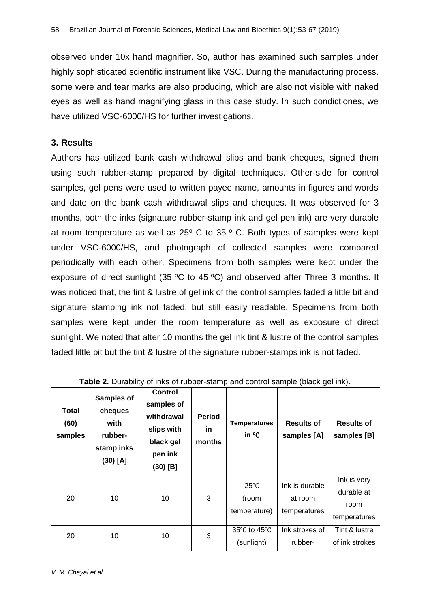observed under 10x hand magnifier. So, author has examined such samples under highly sophisticated scientific instrument like VSC. During the manufacturing process, some were and tear marks are also producing, which are also not visible with naked eyes as well as hand magnifying glass in this case study. In such condictiones, we have utilized VSC-6000/HS for further investigations.

#### **3. Results**

Authors has utilized bank cash withdrawal slips and bank cheques, signed them using such rubber-stamp prepared by digital techniques. Other-side for control samples, gel pens were used to written payee name, amounts in figures and words and date on the bank cash withdrawal slips and cheques. It was observed for 3 months, both the inks (signature rubber-stamp ink and gel pen ink) are very durable at room temperature as well as  $25^{\circ}$  C to 35  $^{\circ}$  C. Both types of samples were kept under VSC-6000/HS, and photograph of collected samples were compared periodically with each other. Specimens from both samples were kept under the exposure of direct sunlight (35  $\degree$ C to 45  $\degree$ C) and observed after Three 3 months. It was noticed that, the tint & lustre of gel ink of the control samples faded a little bit and signature stamping ink not faded, but still easily readable. Specimens from both samples were kept under the room temperature as well as exposure of direct sunlight. We noted that after 10 months the gel ink tint & lustre of the control samples faded little bit but the tint & lustre of the signature rubber-stamps ink is not faded.

| <b>Total</b><br>(60)<br>samples | <b>Samples of</b><br>cheques<br>with<br>rubber-<br>stamp inks<br>$(30)$ [A] | <b>Control</b><br>samples of<br>withdrawal<br>slips with<br>black gel<br>pen ink<br>$(30)$ [B] | <b>Period</b><br>in.<br>months | <b>Temperatures</b><br>in °C            | <b>Results of</b><br>samples [A]          | <b>Results of</b><br>samples [B]                  |
|---------------------------------|-----------------------------------------------------------------------------|------------------------------------------------------------------------------------------------|--------------------------------|-----------------------------------------|-------------------------------------------|---------------------------------------------------|
| 20                              | 10                                                                          | 10                                                                                             | 3                              | $25^{\circ}$ C<br>(room<br>temperature) | Ink is durable<br>at room<br>temperatures | Ink is very<br>durable at<br>room<br>temperatures |
| 20                              | 10                                                                          | 10                                                                                             | 3                              | 35°C to 45°C<br>(sunlight)              | Ink strokes of<br>rubber-                 | Tint & lustre<br>of ink strokes                   |

| Table 2. Durability of inks of rubber-stamp and control sample (black gel ink). |  |  |  |  |  |  |
|---------------------------------------------------------------------------------|--|--|--|--|--|--|
|---------------------------------------------------------------------------------|--|--|--|--|--|--|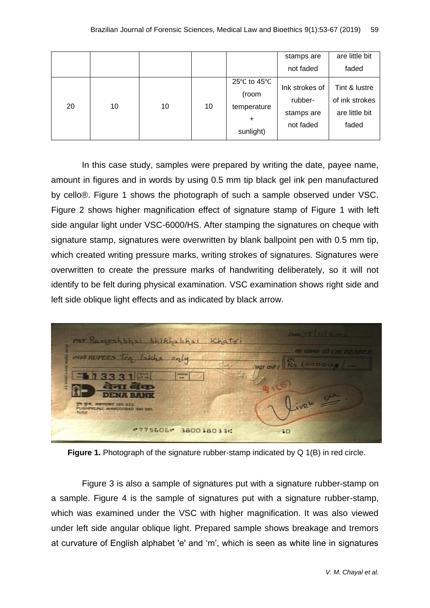|    |    |    |    |                                                                                              | stamps are                                           | are little bit                                             |
|----|----|----|----|----------------------------------------------------------------------------------------------|------------------------------------------------------|------------------------------------------------------------|
|    |    |    |    |                                                                                              | not faded                                            | faded                                                      |
| 20 | 10 | 10 | 10 | 25 $\mathrm{^{\circ}C}$ to 45 $\mathrm{^{\circ}C}$<br>(room<br>temperature<br>÷<br>sunlight) | Ink strokes of<br>rubber-<br>stamps are<br>not faded | Tint & lustre<br>of ink strokes<br>are little bit<br>faded |

In this case study, samples were prepared by writing the date, payee name, amount in figures and in words by using 0.5 mm tip black gel ink pen manufactured by cello®. Figure 1 shows the photograph of such a sample observed under VSC. Figure 2 shows higher magnification effect of signature stamp of Figure 1 with left side angular light under VSC-6000/HS. After stamping the signatures on cheque with signature stamp, signatures were overwritten by blank ballpoint pen with 0.5 mm tip, which created writing pressure marks, writing strokes of signatures. Signatures were overwritten to create the pressure marks of handwriting deliberately, so it will not identify to be felt during physical examination. VSC examination shows right side and left side oblique light effects and as indicated by black arrow.



**Figure 1.** Photograph of the signature rubber-stamp indicated by Q 1(B) in red circle.

Figure 3 is also a sample of signatures put with a signature rubber-stamp on a sample. Figure 4 is the sample of signatures put with a signature rubber-stamp, which was examined under the VSC with higher magnification. It was also viewed under left side angular oblique light. Prepared sample shows breakage and tremors at curvature of English alphabet 'e' and 'm', which is seen as white line in signatures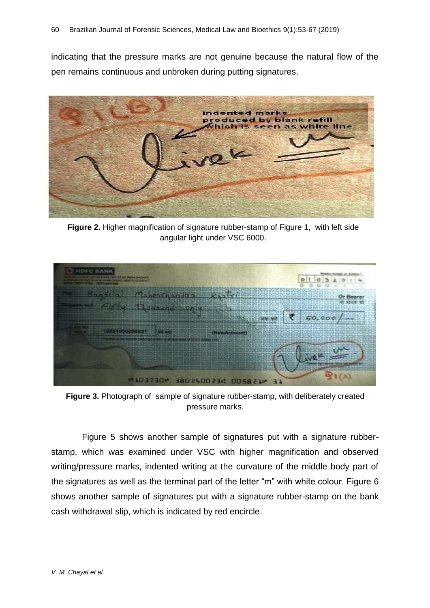indicating that the pressure marks are not genuine because the natural flow of the pen remains continuous and unbroken during putting signatures.



**Figure 2.** Higher magnification of signature rubber-stamp of Figure 1, with left side angular light under VSC 6000.



**Figure 3.** Photograph of sample of signature rubber-stamp, with deliberately created pressure marks.

Figure 5 shows another sample of signatures put with a signature rubberstamp, which was examined under VSC with higher magnification and observed writing/pressure marks, indented writing at the curvature of the middle body part of the signatures as well as the terminal part of the letter "m" with white colour. Figure 6 shows another sample of signatures put with a signature rubber-stamp on the bank cash withdrawal slip, which is indicated by red encircle.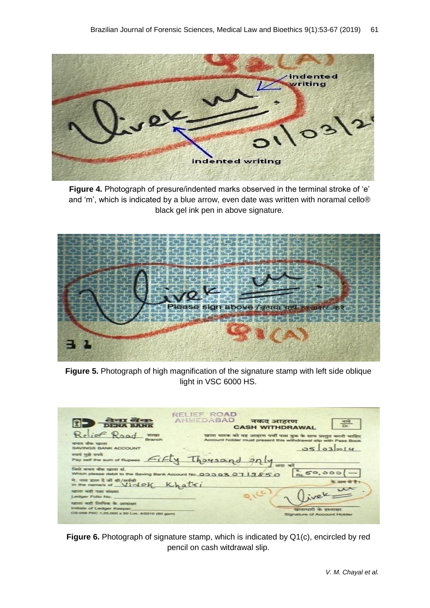

**Figure 4.** Photograph of presure/indented marks observed in the terminal stroke of 'e' and 'm', which is indicated by a blue arrow, even date was written with noramal cello® black gel ink pen in above signature.



**Figure 5.** Photograph of high magnification of the signature stamp with left side oblique light in VSC 6000 HS.

| केना वेंक<br><b>DENA BANK</b>                                                                               | RELIEF ROAD<br><b>AHMEDABAD</b><br>नकद आहरण<br><b>CASH WITHDRAWAL</b>                                                                      |
|-------------------------------------------------------------------------------------------------------------|--------------------------------------------------------------------------------------------------------------------------------------------|
| Relief Road<br>जास्वा<br><b>Branch</b><br>बचत बेक खाता<br>SAVINGS BANK ACCOUNT                              | खाता धारक को यह आहरण पंचीं पास बुक के साथ प्रस्तुत करनी चाहिए<br>Account holder must present this withdrawal slip with Pass Book<br>032014 |
|                                                                                                             | Pay set the sum of Rupees <i>Fifty</i> Thousand only we at                                                                                 |
| जिसी बचात बीक श्वाता से.                                                                                    | 50,000<br>Which please debit to the Saving Bank Account No. 00007070719850                                                                 |
| में. नाम डाल दे जो श्री/सर्वश्री<br>In the name/s of $ViA@K$                                                | न्यास्त परे हैं<br>Khatci                                                                                                                  |
| मुद्राता आदी पावा संकल्पा<br>Ledger Folio No.                                                               |                                                                                                                                            |
| न्याता नारी लिपिक के अगराकार<br>Initials of Ledger Keeper.<br>CS-058 PAC 1,25,000 x 50 Lvs. 4/2010 (60 gsm) | खाताधारी के हस्ताकर<br>Signature of Account Holder                                                                                         |

**Figure 6.** Photograph of signature stamp, which is indicated by Q1(c), encircled by red pencil on cash witdrawal slip.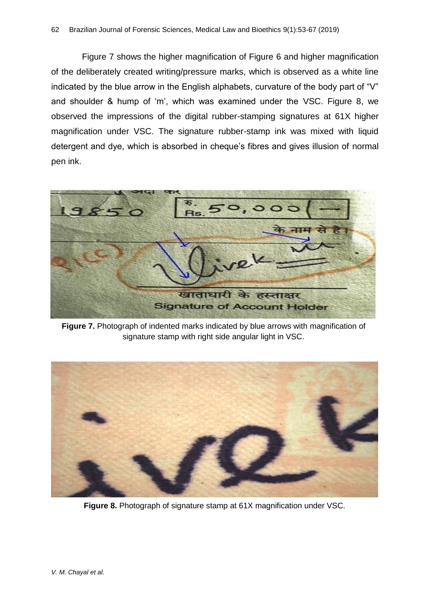Figure 7 shows the higher magnification of Figure 6 and higher magnification of the deliberately created writing/pressure marks, which is observed as a white line indicated by the blue arrow in the English alphabets, curvature of the body part of "V" and shoulder & hump of 'm', which was examined under the VSC. Figure 8, we observed the impressions of the digital rubber-stamping signatures at 61X higher magnification under VSC. The signature rubber-stamp ink was mixed with liquid detergent and dye, which is absorbed in cheque's fibres and gives illusion of normal pen ink.



**Figure 7.** Photograph of indented marks indicated by blue arrows with magnification of signature stamp with right side angular light in VSC.



**Figure 8.** Photograph of signature stamp at 61X magnification under VSC.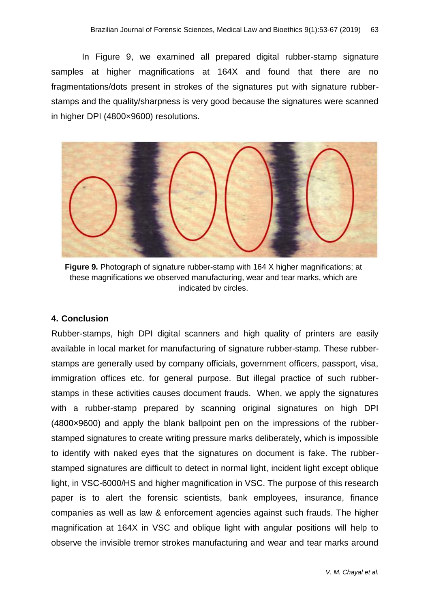In Figure 9, we examined all prepared digital rubber-stamp signature samples at higher magnifications at 164X and found that there are no fragmentations/dots present in strokes of the signatures put with signature rubberstamps and the quality/sharpness is very good because the signatures were scanned in higher DPI (4800×9600) resolutions.



**Figure 9.** Photograph of signature rubber-stamp with 164 X higher magnifications; at these magnifications we observed manufacturing, wear and tear marks, which are indicated by circles.

#### **4. Conclusion**

Rubber-stamps, high DPI digital scanners and high quality of printers are easily available in local market for manufacturing of signature rubber-stamp. These rubberstamps are generally used by company officials, government officers, passport, visa, immigration offices etc. for general purpose. But illegal practice of such rubberstamps in these activities causes document frauds. When, we apply the signatures with a rubber-stamp prepared by scanning original signatures on high DPI (4800×9600) and apply the blank ballpoint pen on the impressions of the rubberstamped signatures to create writing pressure marks deliberately, which is impossible to identify with naked eyes that the signatures on document is fake. The rubberstamped signatures are difficult to detect in normal light, incident light except oblique light, in VSC-6000/HS and higher magnification in VSC. The purpose of this research paper is to alert the forensic scientists, bank employees, insurance, finance companies as well as law & enforcement agencies against such frauds. The higher magnification at 164X in VSC and oblique light with angular positions will help to observe the invisible tremor strokes manufacturing and wear and tear marks around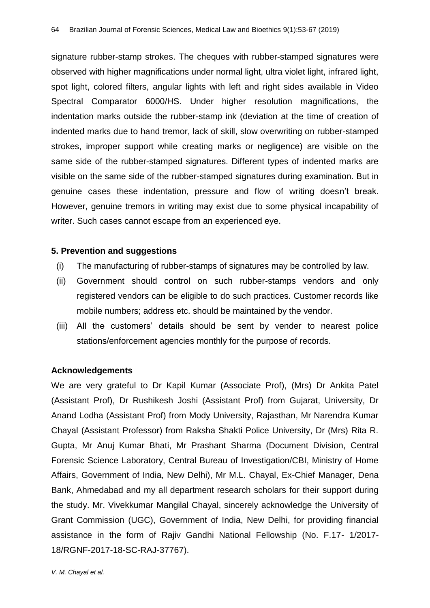signature rubber-stamp strokes. The cheques with rubber-stamped signatures were observed with higher magnifications under normal light, ultra violet light, infrared light, spot light, colored filters, angular lights with left and right sides available in Video Spectral Comparator 6000/HS. Under higher resolution magnifications, the indentation marks outside the rubber-stamp ink (deviation at the time of creation of indented marks due to hand tremor, lack of skill, slow overwriting on rubber-stamped strokes, improper support while creating marks or negligence) are visible on the same side of the rubber-stamped signatures. Different types of indented marks are visible on the same side of the rubber-stamped signatures during examination. But in genuine cases these indentation, pressure and flow of writing doesn't break. However, genuine tremors in writing may exist due to some physical incapability of writer. Such cases cannot escape from an experienced eye.

#### **5. Prevention and suggestions**

- (i) The manufacturing of rubber-stamps of signatures may be controlled by law.
- (ii) Government should control on such rubber-stamps vendors and only registered vendors can be eligible to do such practices. Customer records like mobile numbers; address etc. should be maintained by the vendor.
- (iii) All the customers' details should be sent by vender to nearest police stations/enforcement agencies monthly for the purpose of records.

## **Acknowledgements**

We are very grateful to Dr Kapil Kumar (Associate Prof), (Mrs) Dr Ankita Patel (Assistant Prof), Dr Rushikesh Joshi (Assistant Prof) from Gujarat, University, Dr Anand Lodha (Assistant Prof) from Mody University, Rajasthan, Mr Narendra Kumar Chayal (Assistant Professor) from Raksha Shakti Police University, Dr (Mrs) Rita R. Gupta, Mr Anuj Kumar Bhati, Mr Prashant Sharma (Document Division, Central Forensic Science Laboratory, Central Bureau of Investigation/CBI, Ministry of Home Affairs, Government of India, New Delhi), Mr M.L. Chayal, Ex-Chief Manager, Dena Bank, Ahmedabad and my all department research scholars for their support during the study. Mr. Vivekkumar Mangilal Chayal, sincerely acknowledge the University of Grant Commission (UGC), Government of India, New Delhi, for providing financial assistance in the form of Rajiv Gandhi National Fellowship (No. F.17- 1/2017- 18/RGNF-2017-18-SC-RAJ-37767).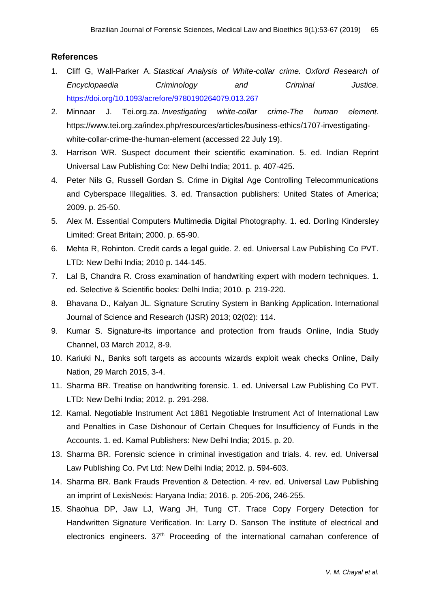## **References**

- 1. Cliff G, Wall-Parker A. *Stastical Analysis of White-collar crime. Oxford Research of Encyclopaedia Criminology and Criminal Justice.* <https://doi.org/10.1093/acrefore/9780190264079.013.267>
- 2. Minnaar J. Tei.org.za. *Investigating white-collar crime-The human element.* https://www.tei.org.za/index.php/resources/articles/business-ethics/1707-investigatingwhite-collar-crime-the-human-element (accessed 22 July 19).
- 3. Harrison WR. Suspect document their scientific examination. 5. ed. Indian Reprint Universal Law Publishing Co: New Delhi India; 2011. p. 407-425.
- 4. Peter Nils G, Russell Gordan S. Crime in Digital Age Controlling Telecommunications and Cyberspace Illegalities. 3. ed. Transaction publishers: United States of America; 2009. p. 25-50.
- 5. Alex M. Essential Computers Multimedia Digital Photography. 1. ed. Dorling Kindersley Limited: Great Britain; 2000. p. 65-90.
- 6. Mehta R, Rohinton. Credit cards a legal guide. 2. ed. Universal Law Publishing Co PVT. LTD: New Delhi India; 2010 p. 144-145.
- 7. Lal B, Chandra R. Cross examination of handwriting expert with modern techniques. 1. ed. Selective & Scientific books: Delhi India; 2010. p. 219-220.
- 8. Bhavana D., Kalyan JL. Signature Scrutiny System in Banking Application. International Journal of Science and Research (IJSR) 2013; 02(02): 114.
- 9. Kumar S. Signature-its importance and protection from frauds Online, India Study Channel, 03 March 2012, 8-9.
- 10. Kariuki N., Banks soft targets as accounts wizards exploit weak checks Online, Daily Nation, 29 March 2015, 3-4.
- 11. Sharma BR. Treatise on handwriting forensic. 1. ed. Universal Law Publishing Co PVT. LTD: New Delhi India; 2012. p. 291-298.
- 12. Kamal. Negotiable Instrument Act 1881 Negotiable Instrument Act of International Law and Penalties in Case Dishonour of Certain Cheques for Insufficiency of Funds in the Accounts. 1. ed. Kamal Publishers: New Delhi India; 2015. p. 20.
- 13. Sharma BR. Forensic science in criminal investigation and trials. 4. rev. ed. Universal Law Publishing Co. Pvt Ltd: New Delhi India; 2012. p. 594-603.
- 14. Sharma BR. Bank Frauds Prevention & Detection. 4. rev. ed. Universal Law Publishing an imprint of LexisNexis: Haryana India; 2016. p. 205-206, 246-255.
- 15. Shaohua DP, Jaw LJ, Wang JH, Tung CT. Trace Copy Forgery Detection for Handwritten Signature Verification. In: Larry D. Sanson The institute of electrical and electronics engineers. 37<sup>th</sup> Proceeding of the international carnahan conference of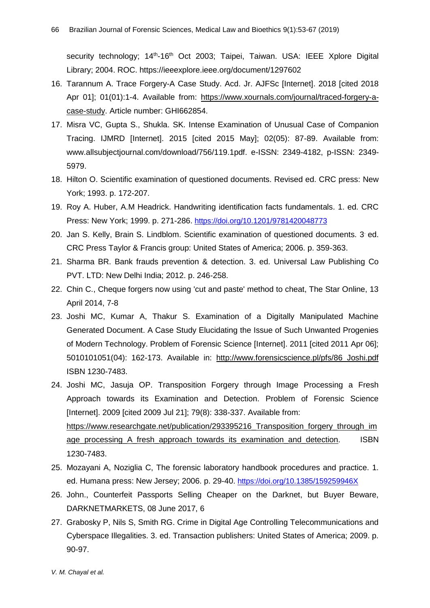security technology; 14<sup>th</sup>-16<sup>th</sup> Oct 2003; Taipei, Taiwan. USA: IEEE Xplore Digital Library; 2004. ROC. https://ieeexplore.ieee.org/document/1297602

- 16. Tarannum A. Trace Forgery-A Case Study. Acd. Jr. AJFSc [Internet]. 2018 [cited 2018 Apr 01]; 01(01):1-4. Available from: [https://www.xournals.com/journal/traced-forgery-a](https://www.xournals.com/journal/traced-forgery-a-case-study)[case-study.](https://www.xournals.com/journal/traced-forgery-a-case-study) Article number: GHI662854.
- 17. Misra VC, Gupta S., Shukla. SK. Intense Examination of Unusual Case of Companion Tracing. IJMRD [Internet]. 2015 [cited 2015 May]; 02(05): 87-89. Available from: www.allsubjectjournal.com/download/756/119.1pdf. e-ISSN: 2349-4182, p-ISSN: 2349- 5979.
- 18. Hilton O. Scientific examination of questioned documents. Revised ed. CRC press: New York; 1993. p. 172-207.
- 19. Roy A. Huber, A.M Headrick. Handwriting identification facts fundamentals. 1. ed. CRC Press: New York; 1999. p. 271-286. <https://doi.org/10.1201/9781420048773>
- 20. Jan S. Kelly, Brain S. Lindblom. Scientific examination of questioned documents. 3. ed. CRC Press Taylor & Francis group: United States of America; 2006. p. 359-363.
- 21. Sharma BR. Bank frauds prevention & detection. 3. ed. Universal Law Publishing Co PVT. LTD: New Delhi India; 2012. p. 246-258.
- 22. Chin C., Cheque forgers now using 'cut and paste' method to cheat, The Star Online, 13 April 2014, 7-8
- 23. Joshi MC, Kumar A, Thakur S. Examination of a Digitally Manipulated Machine Generated Document. A Case Study Elucidating the Issue of Such Unwanted Progenies of Modern Technology. Problem of Forensic Science [Internet]. 2011 [cited 2011 Apr 06]; 5010101051(04): 162-173. Available in: [http://www.forensicscience.pl/pfs/86\\_Joshi.pdf](http://www.forensicscience.pl/pfs/86_Joshi.pdf)  ISBN 1230-7483.
- 24. Joshi MC, Jasuja OP. Transposition Forgery through Image Processing a Fresh Approach towards its Examination and Detection. Problem of Forensic Science [Internet]. 2009 [cited 2009 Jul 21]; 79(8): 338-337. Available from: https://www.researchgate.net/publication/293395216 Transposition forgery through im age\_processing A\_fresh\_approach\_towards\_its\_examination\_and\_detection. ISBN 1230-7483.
- 25. Mozayani A, Noziglia C, The forensic laboratory handbook procedures and practice. 1. ed. Humana press: New Jersey; 2006. p. 29-40. <https://doi.org/10.1385/159259946X>
- 26. John., Counterfeit Passports Selling Cheaper on the Darknet, but Buyer Beware, DARKNETMARKETS, 08 June 2017, 6
- 27. Grabosky P, Nils S, Smith RG. Crime in Digital Age Controlling Telecommunications and Cyberspace Illegalities. 3. ed. Transaction publishers: United States of America; 2009. p. 90-97.